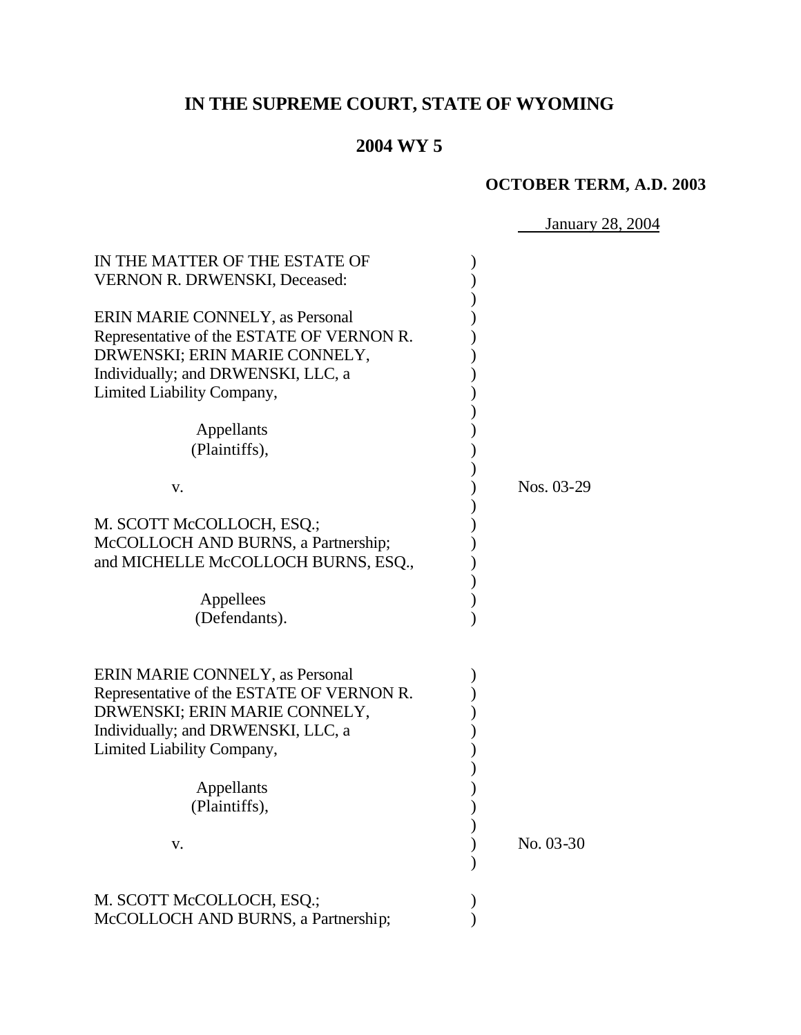# **IN THE SUPREME COURT, STATE OF WYOMING**

## **2004 WY 5**

## **OCTOBER TERM, A.D. 2003**

January 28, 2004

| IN THE MATTER OF THE ESTATE OF<br><b>VERNON R. DRWENSKI, Deceased:</b>                                                                                                            |            |
|-----------------------------------------------------------------------------------------------------------------------------------------------------------------------------------|------------|
| ERIN MARIE CONNELY, as Personal<br>Representative of the ESTATE OF VERNON R.<br>DRWENSKI; ERIN MARIE CONNELY,<br>Individually; and DRWENSKI, LLC, a<br>Limited Liability Company, |            |
| Appellants<br>(Plaintiffs),                                                                                                                                                       |            |
| V.                                                                                                                                                                                | Nos. 03-29 |
| M. SCOTT McCOLLOCH, ESQ.;<br>McCOLLOCH AND BURNS, a Partnership;<br>and MICHELLE McCOLLOCH BURNS, ESQ.,<br>Appellees                                                              |            |
| (Defendants).                                                                                                                                                                     |            |
| ERIN MARIE CONNELY, as Personal<br>Representative of the ESTATE OF VERNON R.<br>DRWENSKI; ERIN MARIE CONNELY,<br>Individually; and DRWENSKI, LLC, a                               |            |
| Limited Liability Company,                                                                                                                                                        |            |
| Appellants<br>(Plaintiffs),                                                                                                                                                       |            |
| V.                                                                                                                                                                                | No. 03-30  |
| M. SCOTT McCOLLOCH, ESQ.;<br>McCOLLOCH AND BURNS, a Partnership;                                                                                                                  |            |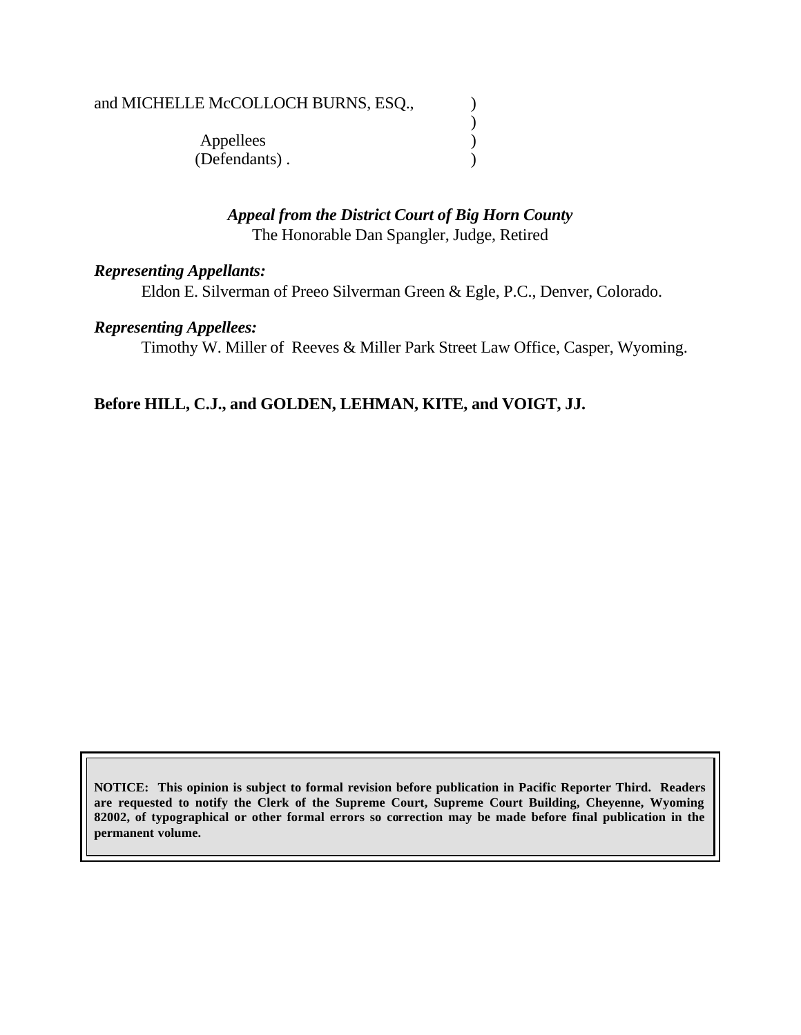## and MICHELLE McCOLLOCH BURNS, ESQ.,  $\qquad \qquad$  )

) Appellees (b) (Defendants) .

#### *Appeal from the District Court of Big Horn County* The Honorable Dan Spangler, Judge, Retired

#### *Representing Appellants:*

Eldon E. Silverman of Preeo Silverman Green & Egle, P.C., Denver, Colorado.

#### *Representing Appellees:*

Timothy W. Miller of Reeves & Miller Park Street Law Office, Casper, Wyoming.

## **Before HILL, C.J., and GOLDEN, LEHMAN, KITE, and VOIGT, JJ.**

**NOTICE: This opinion is subject to formal revision before publication in Pacific Reporter Third. Readers are requested to notify the Clerk of the Supreme Court, Supreme Court Building, Cheyenne, Wyoming 82002, of typographical or other formal errors so correction may be made before final publication in the permanent volume.**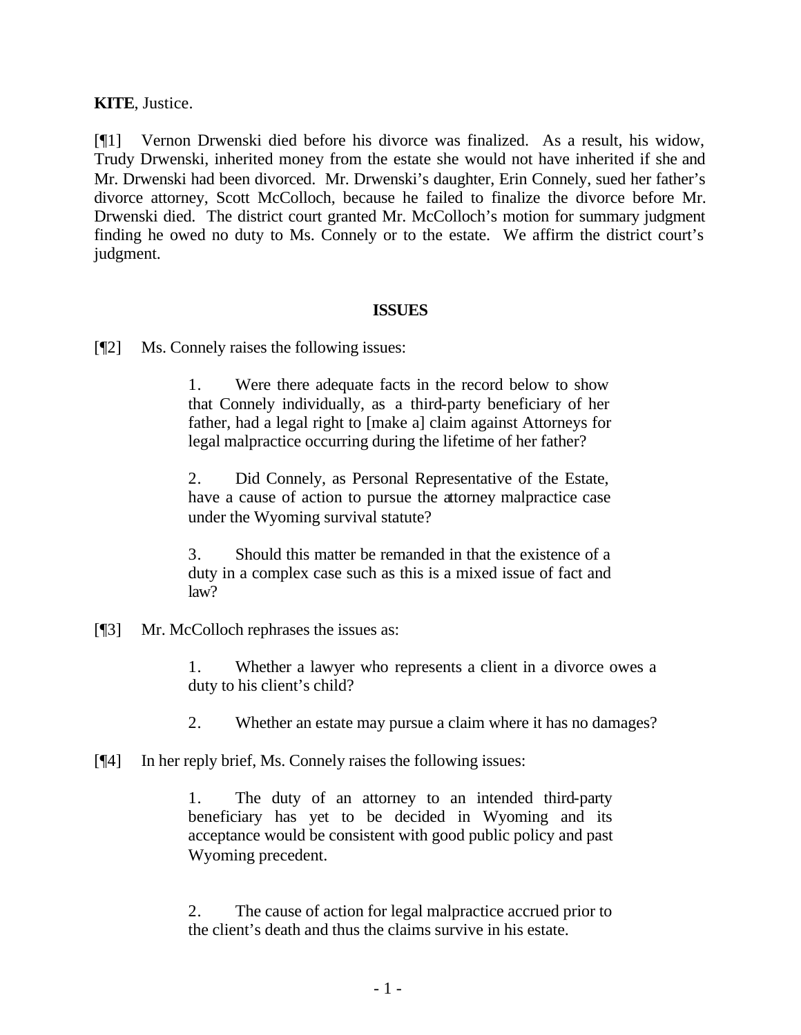**KITE**, Justice.

[¶1] Vernon Drwenski died before his divorce was finalized. As a result, his widow, Trudy Drwenski, inherited money from the estate she would not have inherited if she and Mr. Drwenski had been divorced. Mr. Drwenski's daughter, Erin Connely, sued her father's divorce attorney, Scott McColloch, because he failed to finalize the divorce before Mr. Drwenski died. The district court granted Mr. McColloch's motion for summary judgment finding he owed no duty to Ms. Connely or to the estate. We affirm the district court's judgment.

#### **ISSUES**

[¶2] Ms. Connely raises the following issues:

1. Were there adequate facts in the record below to show that Connely individually, as a third-party beneficiary of her father, had a legal right to [make a] claim against Attorneys for legal malpractice occurring during the lifetime of her father?

2. Did Connely, as Personal Representative of the Estate, have a cause of action to pursue the attorney malpractice case under the Wyoming survival statute?

3. Should this matter be remanded in that the existence of a duty in a complex case such as this is a mixed issue of fact and law?

[¶3] Mr. McColloch rephrases the issues as:

1. Whether a lawyer who represents a client in a divorce owes a duty to his client's child?

2. Whether an estate may pursue a claim where it has no damages?

[¶4] In her reply brief, Ms. Connely raises the following issues:

1. The duty of an attorney to an intended third-party beneficiary has yet to be decided in Wyoming and its acceptance would be consistent with good public policy and past Wyoming precedent.

2. The cause of action for legal malpractice accrued prior to the client's death and thus the claims survive in his estate.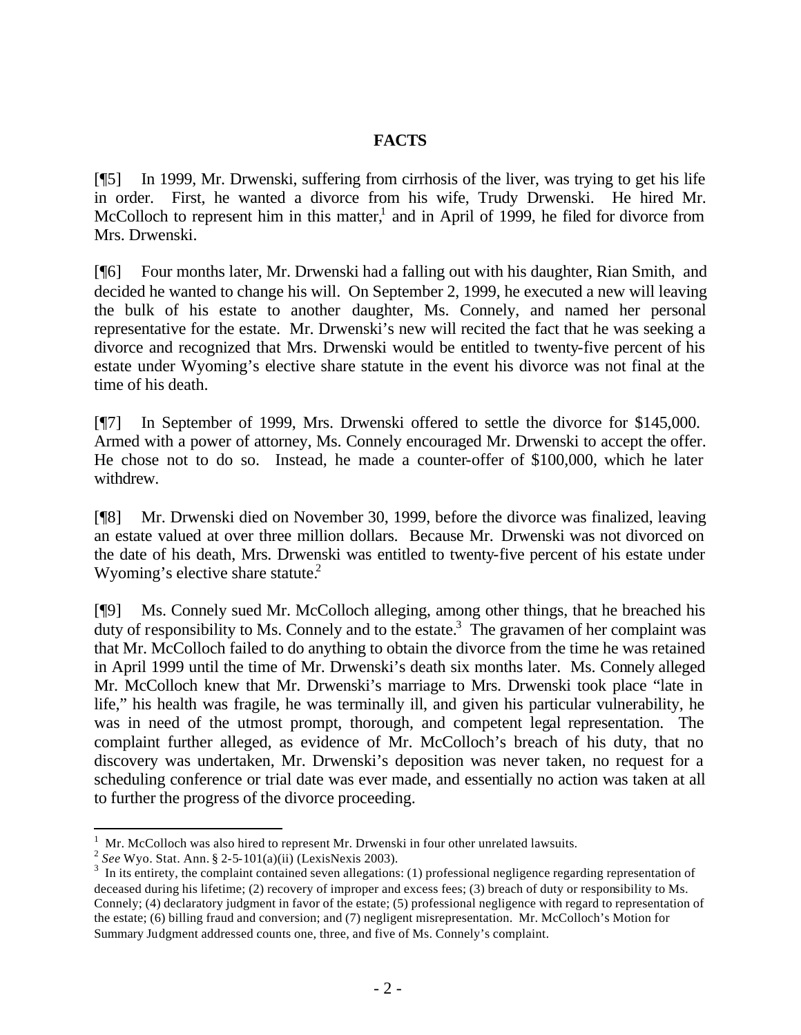#### **FACTS**

[¶5] In 1999, Mr. Drwenski, suffering from cirrhosis of the liver, was trying to get his life in order. First, he wanted a divorce from his wife, Trudy Drwenski. He hired Mr. McColloch to represent him in this matter, $\frac{1}{1}$  and in April of 1999, he filed for divorce from Mrs. Drwenski.

[¶6] Four months later, Mr. Drwenski had a falling out with his daughter, Rian Smith, and decided he wanted to change his will. On September 2, 1999, he executed a new will leaving the bulk of his estate to another daughter, Ms. Connely, and named her personal representative for the estate. Mr. Drwenski's new will recited the fact that he was seeking a divorce and recognized that Mrs. Drwenski would be entitled to twenty-five percent of his estate under Wyoming's elective share statute in the event his divorce was not final at the time of his death.

[¶7] In September of 1999, Mrs. Drwenski offered to settle the divorce for \$145,000. Armed with a power of attorney, Ms. Connely encouraged Mr. Drwenski to accept the offer. He chose not to do so. Instead, he made a counter-offer of \$100,000, which he later withdrew.

[¶8] Mr. Drwenski died on November 30, 1999, before the divorce was finalized, leaving an estate valued at over three million dollars. Because Mr. Drwenski was not divorced on the date of his death, Mrs. Drwenski was entitled to twenty-five percent of his estate under Wyoming's elective share statute. $2$ 

[¶9] Ms. Connely sued Mr. McColloch alleging, among other things, that he breached his duty of responsibility to Ms. Connely and to the estate.<sup>3</sup> The gravamen of her complaint was that Mr. McColloch failed to do anything to obtain the divorce from the time he was retained in April 1999 until the time of Mr. Drwenski's death six months later. Ms. Connely alleged Mr. McColloch knew that Mr. Drwenski's marriage to Mrs. Drwenski took place "late in life," his health was fragile, he was terminally ill, and given his particular vulnerability, he was in need of the utmost prompt, thorough, and competent legal representation. The complaint further alleged, as evidence of Mr. McColloch's breach of his duty, that no discovery was undertaken, Mr. Drwenski's deposition was never taken, no request for a scheduling conference or trial date was ever made, and essentially no action was taken at all to further the progress of the divorce proceeding.

l

 $1$  Mr. McColloch was also hired to represent Mr. Drwenski in four other unrelated lawsuits.

<sup>2</sup> *See* Wyo. Stat. Ann. § 2-5-101(a)(ii) (LexisNexis 2003).

 $3\,$  In its entirety, the complaint contained seven allegations: (1) professional negligence regarding representation of deceased during his lifetime; (2) recovery of improper and excess fees; (3) breach of duty or responsibility to Ms. Connely; (4) declaratory judgment in favor of the estate; (5) professional negligence with regard to representation of the estate; (6) billing fraud and conversion; and (7) negligent misrepresentation. Mr. McColloch's Motion for Summary Judgment addressed counts one, three, and five of Ms. Connely's complaint.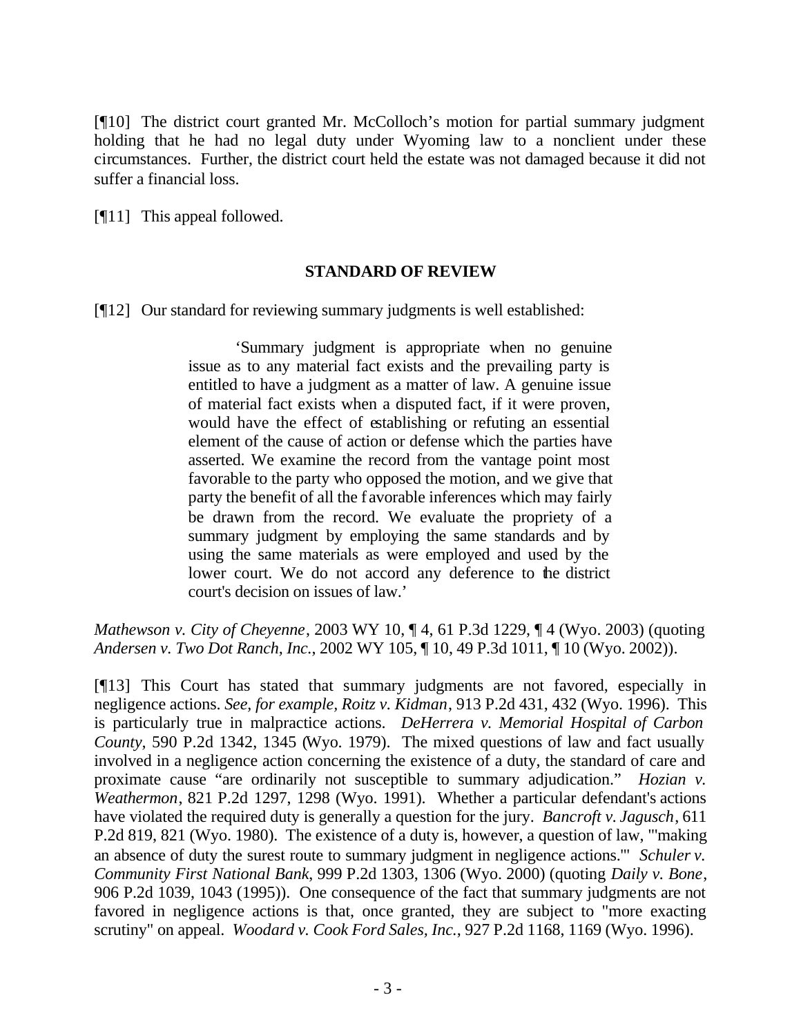[¶10] The district court granted Mr. McColloch's motion for partial summary judgment holding that he had no legal duty under Wyoming law to a nonclient under these circumstances. Further, the district court held the estate was not damaged because it did not suffer a financial loss.

[¶11] This appeal followed.

#### **STANDARD OF REVIEW**

[¶12] Our standard for reviewing summary judgments is well established:

'Summary judgment is appropriate when no genuine issue as to any material fact exists and the prevailing party is entitled to have a judgment as a matter of law. A genuine issue of material fact exists when a disputed fact, if it were proven, would have the effect of establishing or refuting an essential element of the cause of action or defense which the parties have asserted. We examine the record from the vantage point most favorable to the party who opposed the motion, and we give that party the benefit of all the f avorable inferences which may fairly be drawn from the record. We evaluate the propriety of a summary judgment by employing the same standards and by using the same materials as were employed and used by the lower court. We do not accord any deference to the district court's decision on issues of law.'

*Mathewson v. City of Cheyenne*, 2003 WY 10, ¶ 4, 61 P.3d 1229, ¶ 4 (Wyo. 2003) (quoting *Andersen v. Two Dot Ranch, Inc.*, 2002 WY 105, ¶ 10, 49 P.3d 1011, ¶ 10 (Wyo. 2002)).

[¶13] This Court has stated that summary judgments are not favored, especially in negligence actions. *See, for example, Roitz v. Kidman*, 913 P.2d 431, 432 (Wyo. 1996). This is particularly true in malpractice actions. *DeHerrera v. Memorial Hospital of Carbon County,* 590 P.2d 1342, 1345 (Wyo. 1979). The mixed questions of law and fact usually involved in a negligence action concerning the existence of a duty, the standard of care and proximate cause "are ordinarily not susceptible to summary adjudication." *Hozian v. Weathermon*, 821 P.2d 1297, 1298 (Wyo. 1991). Whether a particular defendant's actions have violated the required duty is generally a question for the jury. *Bancroft v. Jagusch*, 611 P.2d 819, 821 (Wyo. 1980). The existence of a duty is, however, a question of law, "'making an absence of duty the surest route to summary judgment in negligence actions.'" *Schuler v. Community First National Bank*, 999 P.2d 1303, 1306 (Wyo. 2000) (quoting *Daily v. Bone*, 906 P.2d 1039, 1043 (1995)). One consequence of the fact that summary judgments are not favored in negligence actions is that, once granted, they are subject to "more exacting scrutiny" on appeal. *Woodard v. Cook Ford Sales, Inc.*, 927 P.2d 1168, 1169 (Wyo. 1996).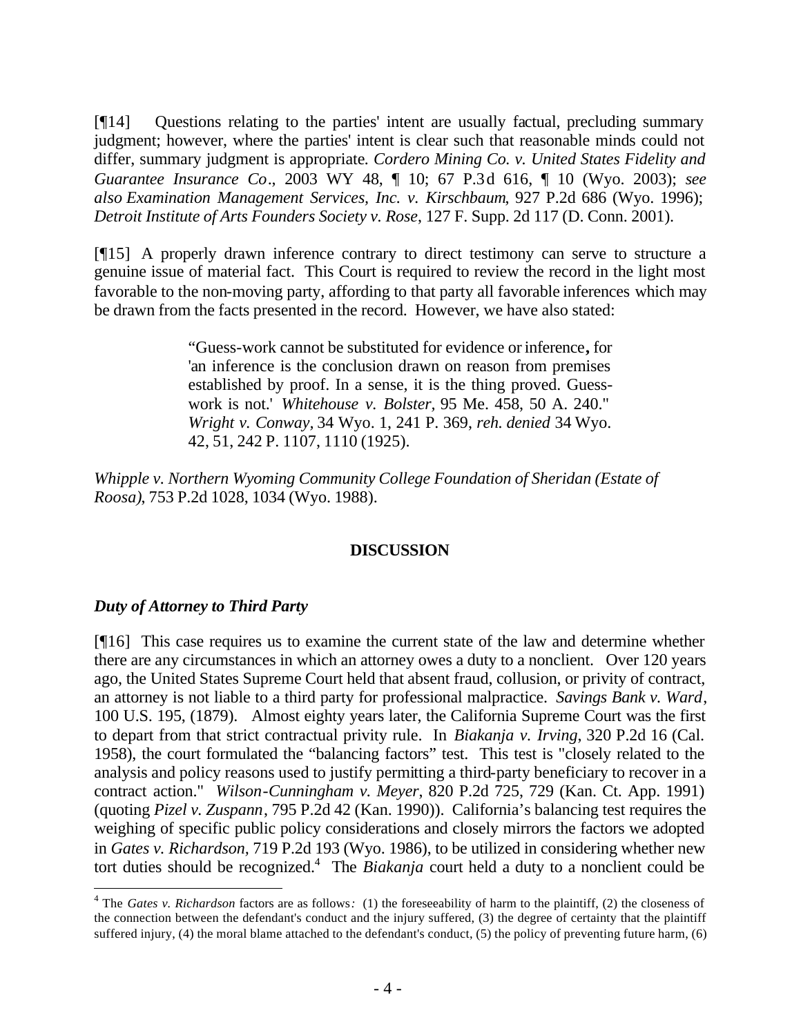[¶14] Questions relating to the parties' intent are usually factual, precluding summary judgment; however, where the parties' intent is clear such that reasonable minds could not differ, summary judgment is appropriate*. Cordero Mining Co. v. United States Fidelity and Guarantee Insurance Co*., 2003 WY 48, ¶ 10; 67 P.3d 616, ¶ 10 (Wyo. 2003); *see also Examination Management Services, Inc. v. Kirschbaum*, 927 P.2d 686 (Wyo. 1996); *Detroit Institute of Arts Founders Society v. Rose*, 127 F. Supp. 2d 117 (D. Conn. 2001).

[¶15] A properly drawn inference contrary to direct testimony can serve to structure a genuine issue of material fact. This Court is required to review the record in the light most favorable to the non-moving party, affording to that party all favorable inferences which may be drawn from the facts presented in the record. However, we have also stated:

> "Guess-work cannot be substituted for evidence or inference**,** for 'an inference is the conclusion drawn on reason from premises established by proof. In a sense, it is the thing proved. Guesswork is not.' *Whitehouse v. Bolster,* 95 Me. 458, 50 A. 240." *Wright v. Conway,* 34 Wyo. 1, 241 P. 369, *reh. denied* 34 Wyo. 42, 51, 242 P. 1107, 1110 (1925).

*Whipple v. Northern Wyoming Community College Foundation of Sheridan (Estate of Roosa)*, 753 P.2d 1028, 1034 (Wyo. 1988).

#### **DISCUSSION**

## *Duty of Attorney to Third Party*

l

[¶16] This case requires us to examine the current state of the law and determine whether there are any circumstances in which an attorney owes a duty to a nonclient. Over 120 years ago, the United States Supreme Court held that absent fraud, collusion, or privity of contract, an attorney is not liable to a third party for professional malpractice. *Savings Bank v. Ward*, 100 U.S. 195, (1879). Almost eighty years later, the California Supreme Court was the first to depart from that strict contractual privity rule. In *Biakanja v. Irving*, 320 P.2d 16 (Cal. 1958), the court formulated the "balancing factors" test. This test is "closely related to the analysis and policy reasons used to justify permitting a third-party beneficiary to recover in a contract action." *Wilson-Cunningham v. Meyer*, 820 P.2d 725, 729 (Kan. Ct. App. 1991) (quoting *Pizel v. Zuspann*, 795 P.2d 42 (Kan. 1990)). California's balancing test requires the weighing of specific public policy considerations and closely mirrors the factors we adopted in *Gates v. Richardson,* 719 P.2d 193 (Wyo. 1986), to be utilized in considering whether new tort duties should be recognized.<sup>4</sup> The *Biakanja* court held a duty to a nonclient could be

<sup>&</sup>lt;sup>4</sup> The *Gates v. Richardson* factors are as follows: (1) the foreseeability of harm to the plaintiff, (2) the closeness of the connection between the defendant's conduct and the injury suffered, (3) the degree of certainty that the plaintiff suffered injury, (4) the moral blame attached to the defendant's conduct, (5) the policy of preventing future harm, (6)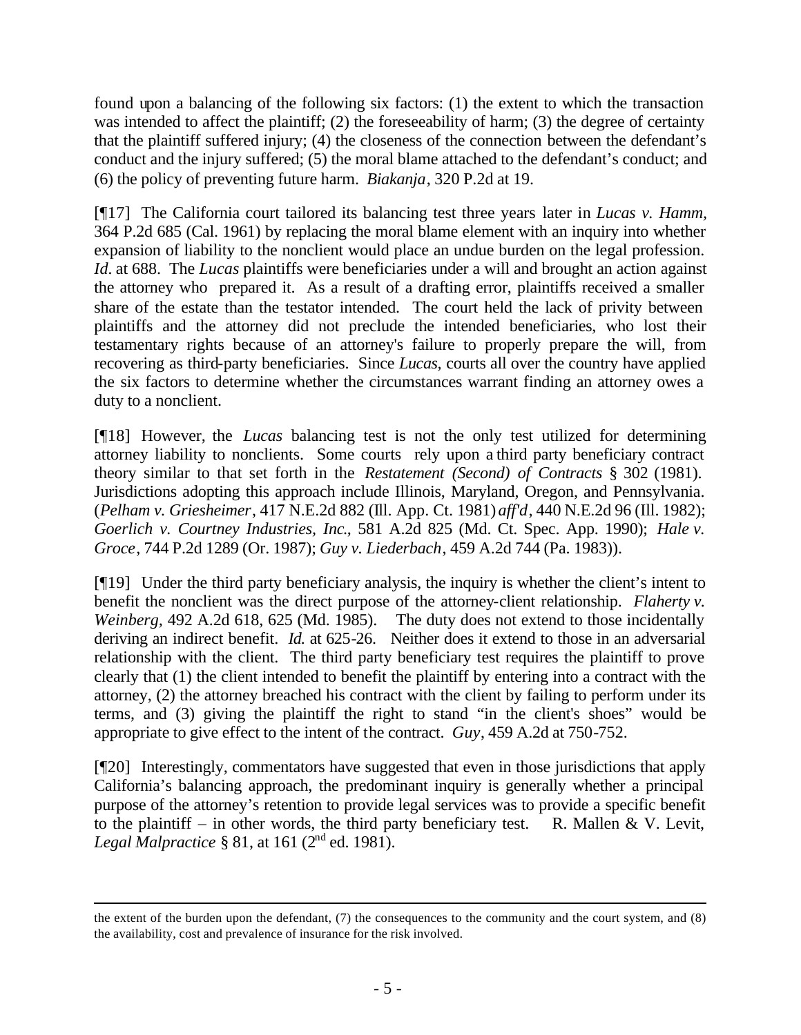found upon a balancing of the following six factors: (1) the extent to which the transaction was intended to affect the plaintiff; (2) the foreseeability of harm; (3) the degree of certainty that the plaintiff suffered injury; (4) the closeness of the connection between the defendant's conduct and the injury suffered; (5) the moral blame attached to the defendant's conduct; and (6) the policy of preventing future harm. *Biakanja*, 320 P.2d at 19.

[¶17] The California court tailored its balancing test three years later in *Lucas v. Hamm,* 364 P.2d 685 (Cal. 1961) by replacing the moral blame element with an inquiry into whether expansion of liability to the nonclient would place an undue burden on the legal profession. *Id.* at 688. The *Lucas* plaintiffs were beneficiaries under a will and brought an action against the attorney who prepared it. As a result of a drafting error, plaintiffs received a smaller share of the estate than the testator intended. The court held the lack of privity between plaintiffs and the attorney did not preclude the intended beneficiaries, who lost their testamentary rights because of an attorney's failure to properly prepare the will, from recovering as third-party beneficiaries. Since *Lucas,* courts all over the country have applied the six factors to determine whether the circumstances warrant finding an attorney owes a duty to a nonclient.

[¶18] However, the *Lucas* balancing test is not the only test utilized for determining attorney liability to nonclients. Some courts rely upon a third party beneficiary contract theory similar to that set forth in the *Restatement (Second) of Contracts* § 302 (1981). Jurisdictions adopting this approach include Illinois, Maryland, Oregon, and Pennsylvania. (*Pelham v. Griesheimer*, 417 N.E.2d 882 (Ill. App. Ct. 1981) *aff'd*, 440 N.E.2d 96 (Ill. 1982); *Goerlich v. Courtney Industries, Inc*., 581 A.2d 825 (Md. Ct. Spec. App. 1990); *Hale v. Groce*, 744 P.2d 1289 (Or. 1987); *Guy v. Liederbach*, 459 A.2d 744 (Pa. 1983)).

[¶19] Under the third party beneficiary analysis, the inquiry is whether the client's intent to benefit the nonclient was the direct purpose of the attorney-client relationship. *Flaherty v. Weinberg*, 492 A.2d 618, 625 (Md. 1985). The duty does not extend to those incidentally deriving an indirect benefit. *Id.* at 625-26. Neither does it extend to those in an adversarial relationship with the client. The third party beneficiary test requires the plaintiff to prove clearly that (1) the client intended to benefit the plaintiff by entering into a contract with the attorney, (2) the attorney breached his contract with the client by failing to perform under its terms, and (3) giving the plaintiff the right to stand "in the client's shoes" would be appropriate to give effect to the intent of the contract. *Guy*, 459 A.2d at 750-752.

[¶20] Interestingly, commentators have suggested that even in those jurisdictions that apply California's balancing approach, the predominant inquiry is generally whether a principal purpose of the attorney's retention to provide legal services was to provide a specific benefit to the plaintiff – in other words, the third party beneficiary test. R. Mallen & V. Levit, *Legal Malpractice* § 81, at 161 (2<sup>nd</sup> ed. 1981).

l

the extent of the burden upon the defendant, (7) the consequences to the community and the court system, and (8) the availability, cost and prevalence of insurance for the risk involved.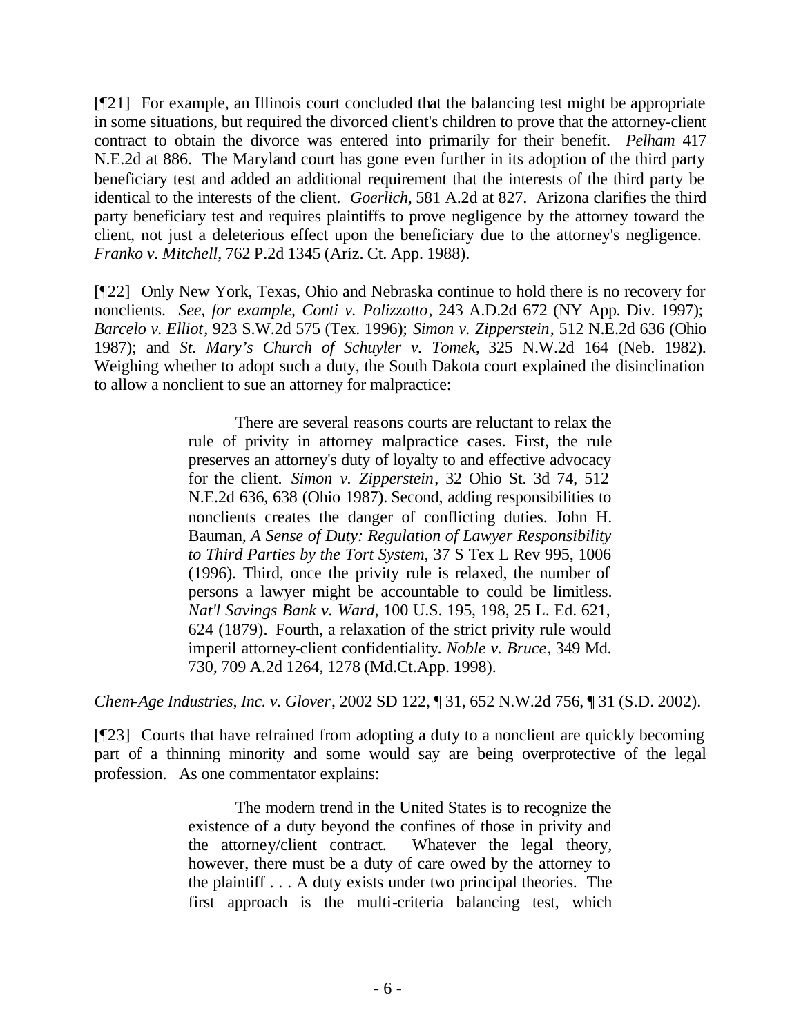[¶21] For example, an Illinois court concluded that the balancing test might be appropriate in some situations, but required the divorced client's children to prove that the attorney-client contract to obtain the divorce was entered into primarily for their benefit. *Pelham* 417 N.E.2d at 886. The Maryland court has gone even further in its adoption of the third party beneficiary test and added an additional requirement that the interests of the third party be identical to the interests of the client. *Goerlich,* 581 A.2d at 827. Arizona clarifies the third party beneficiary test and requires plaintiffs to prove negligence by the attorney toward the client, not just a deleterious effect upon the beneficiary due to the attorney's negligence. *Franko v. Mitchell*, 762 P.2d 1345 (Ariz. Ct. App. 1988).

[¶22] Only New York, Texas, Ohio and Nebraska continue to hold there is no recovery for nonclients. *See, for example, Conti v. Polizzotto*, 243 A.D.2d 672 (NY App. Div. 1997); *Barcelo v. Elliot*, 923 S.W.2d 575 (Tex. 1996); *Simon v. Zipperstein*, 512 N.E.2d 636 (Ohio 1987); and *St. Mary's Church of Schuyler v. Tomek,* 325 N.W.2d 164 (Neb. 1982). Weighing whether to adopt such a duty, the South Dakota court explained the disinclination to allow a nonclient to sue an attorney for malpractice:

> There are several reasons courts are reluctant to relax the rule of privity in attorney malpractice cases. First, the rule preserves an attorney's duty of loyalty to and effective advocacy for the client. *Simon v. Zipperstein*, 32 Ohio St. 3d 74, 512 N.E.2d 636, 638 (Ohio 1987). Second, adding responsibilities to nonclients creates the danger of conflicting duties. John H. Bauman, *A Sense of Duty: Regulation of Lawyer Responsibility to Third Parties by the Tort System,* 37 S Tex L Rev 995, 1006 (1996). Third, once the privity rule is relaxed, the number of persons a lawyer might be accountable to could be limitless. *Nat'l Savings Bank v. Ward*, 100 U.S. 195, 198, 25 L. Ed. 621, 624 (1879). Fourth, a relaxation of the strict privity rule would imperil attorney-client confidentiality. *Noble v. Bruce*, 349 Md. 730, 709 A.2d 1264, 1278 (Md.Ct.App. 1998).

*Chem-Age Industries, Inc. v. Glover*, 2002 SD 122, ¶ 31, 652 N.W.2d 756, ¶ 31 (S.D. 2002).

[¶23] Courts that have refrained from adopting a duty to a nonclient are quickly becoming part of a thinning minority and some would say are being overprotective of the legal profession. As one commentator explains:

> The modern trend in the United States is to recognize the existence of a duty beyond the confines of those in privity and the attorney/client contract. Whatever the legal theory, however, there must be a duty of care owed by the attorney to the plaintiff . . . A duty exists under two principal theories. The first approach is the multi-criteria balancing test, which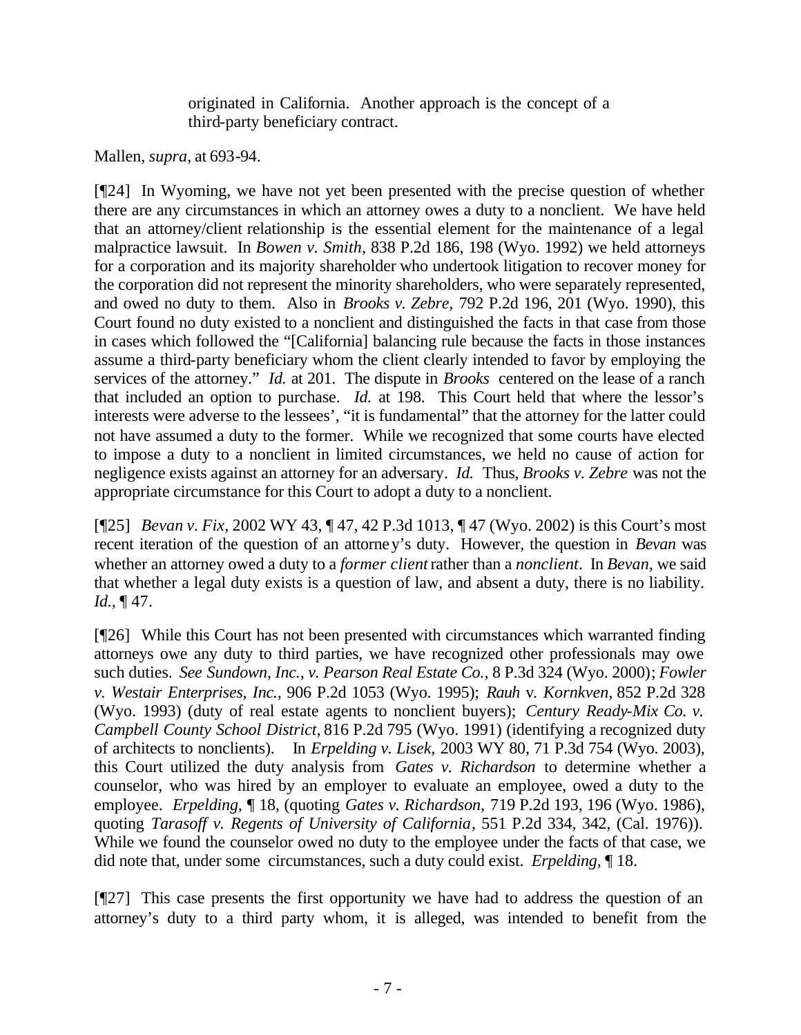originated in California. Another approach is the concept of a third-party beneficiary contract.

#### Mallen, *supra*, at 693-94.

[¶24] In Wyoming, we have not yet been presented with the precise question of whether there are any circumstances in which an attorney owes a duty to a nonclient. We have held that an attorney/client relationship is the essential element for the maintenance of a legal malpractice lawsuit. In *Bowen v. Smith*, 838 P.2d 186, 198 (Wyo. 1992) we held attorneys for a corporation and its majority shareholder who undertook litigation to recover money for the corporation did not represent the minority shareholders, who were separately represented, and owed no duty to them. Also in *Brooks v. Zebre,* 792 P.2d 196, 201 (Wyo. 1990), this Court found no duty existed to a nonclient and distinguished the facts in that case from those in cases which followed the "[California] balancing rule because the facts in those instances assume a third-party beneficiary whom the client clearly intended to favor by employing the services of the attorney." *Id.* at 201. The dispute in *Brooks* centered on the lease of a ranch that included an option to purchase. *Id.* at 198. This Court held that where the lessor's interests were adverse to the lessees', "it is fundamental" that the attorney for the latter could not have assumed a duty to the former. While we recognized that some courts have elected to impose a duty to a nonclient in limited circumstances, we held no cause of action for negligence exists against an attorney for an adversary. *Id.* Thus, *Brooks v. Zebre* was not the appropriate circumstance for this Court to adopt a duty to a nonclient.

[¶25] *Bevan v. Fix*, 2002 WY 43, ¶ 47, 42 P.3d 1013, ¶ 47 (Wyo. 2002) is this Court's most recent iteration of the question of an attorney's duty. However, the question in *Bevan* was whether an attorney owed a duty to a *former client* rather than a *nonclient*. In *Bevan,* we said that whether a legal duty exists is a question of law, and absent a duty, there is no liability. *Id.,* ¶ 47.

[¶26] While this Court has not been presented with circumstances which warranted finding attorneys owe any duty to third parties, we have recognized other professionals may owe such duties. *See Sundown, Inc., v. Pearson Real Estate Co.,* 8 P.3d 324 (Wyo. 2000); *Fowler v. Westair Enterprises, Inc.,* 906 P.2d 1053 (Wyo. 1995); *Rauh* v. *Kornkven,* 852 P.2d 328 (Wyo. 1993) (duty of real estate agents to nonclient buyers); *Century Ready-Mix Co. v. Campbell County School District,* 816 P.2d 795 (Wyo. 1991) (identifying a recognized duty of architects to nonclients). In *Erpelding v. Lisek,* 2003 WY 80, 71 P.3d 754 (Wyo. 2003), this Court utilized the duty analysis from *Gates v. Richardson* to determine whether a counselor, who was hired by an employer to evaluate an employee, owed a duty to the employee. *Erpelding,* ¶ 18, (quoting *Gates v. Richardson,* 719 P.2d 193, 196 (Wyo. 1986), quoting *Tarasoff v. Regents of University of California*, 551 P.2d 334, 342, (Cal. 1976)). While we found the counselor owed no duty to the employee under the facts of that case, we did note that, under some circumstances, such a duty could exist. *Erpelding,* ¶ 18.

[¶27] This case presents the first opportunity we have had to address the question of an attorney's duty to a third party whom, it is alleged, was intended to benefit from the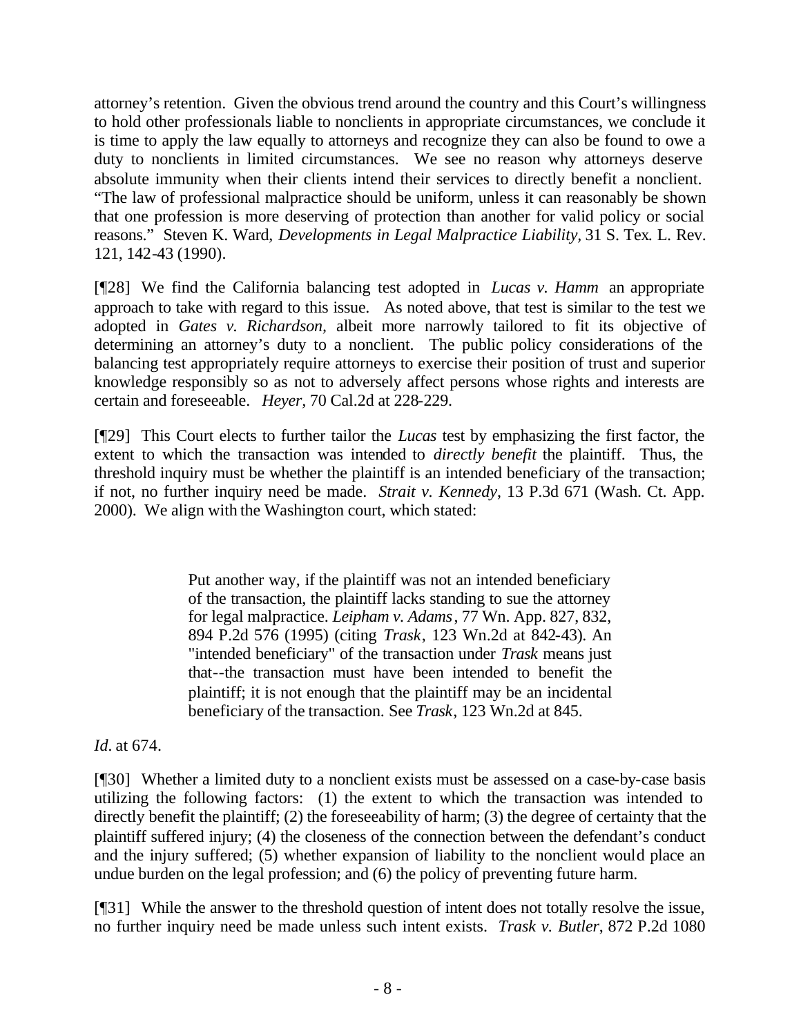attorney's retention. Given the obvious trend around the country and this Court's willingness to hold other professionals liable to nonclients in appropriate circumstances, we conclude it is time to apply the law equally to attorneys and recognize they can also be found to owe a duty to nonclients in limited circumstances. We see no reason why attorneys deserve absolute immunity when their clients intend their services to directly benefit a nonclient. "The law of professional malpractice should be uniform, unless it can reasonably be shown that one profession is more deserving of protection than another for valid policy or social reasons." Steven K. Ward, *Developments in Legal Malpractice Liability,* 31 S. Tex. L. Rev. 121, 142-43 (1990).

[¶28] We find the California balancing test adopted in *Lucas v. Hamm* an appropriate approach to take with regard to this issue. As noted above, that test is similar to the test we adopted in *Gates v. Richardson,* albeit more narrowly tailored to fit its objective of determining an attorney's duty to a nonclient. The public policy considerations of the balancing test appropriately require attorneys to exercise their position of trust and superior knowledge responsibly so as not to adversely affect persons whose rights and interests are certain and foreseeable. *Heyer,* 70 Cal.2d at 228-229.

[¶29] This Court elects to further tailor the *Lucas* test by emphasizing the first factor, the extent to which the transaction was intended to *directly benefit* the plaintiff. Thus, the threshold inquiry must be whether the plaintiff is an intended beneficiary of the transaction; if not, no further inquiry need be made. *Strait v. Kennedy*, 13 P.3d 671 (Wash. Ct. App. 2000). We align with the Washington court, which stated:

> Put another way, if the plaintiff was not an intended beneficiary of the transaction, the plaintiff lacks standing to sue the attorney for legal malpractice. *Leipham v. Adams*, 77 Wn. App. 827, 832, 894 P.2d 576 (1995) (citing *Trask*, 123 Wn.2d at 842-43). An "intended beneficiary" of the transaction under *Trask* means just that--the transaction must have been intended to benefit the plaintiff; it is not enough that the plaintiff may be an incidental beneficiary of the transaction. See *Trask*, 123 Wn.2d at 845.

## *Id.* at 674.

[¶30] Whether a limited duty to a nonclient exists must be assessed on a case-by-case basis utilizing the following factors: (1) the extent to which the transaction was intended to directly benefit the plaintiff; (2) the foreseeability of harm; (3) the degree of certainty that the plaintiff suffered injury; (4) the closeness of the connection between the defendant's conduct and the injury suffered; (5) whether expansion of liability to the nonclient would place an undue burden on the legal profession; and (6) the policy of preventing future harm.

[¶31] While the answer to the threshold question of intent does not totally resolve the issue, no further inquiry need be made unless such intent exists. *Trask v. Butler*, 872 P.2d 1080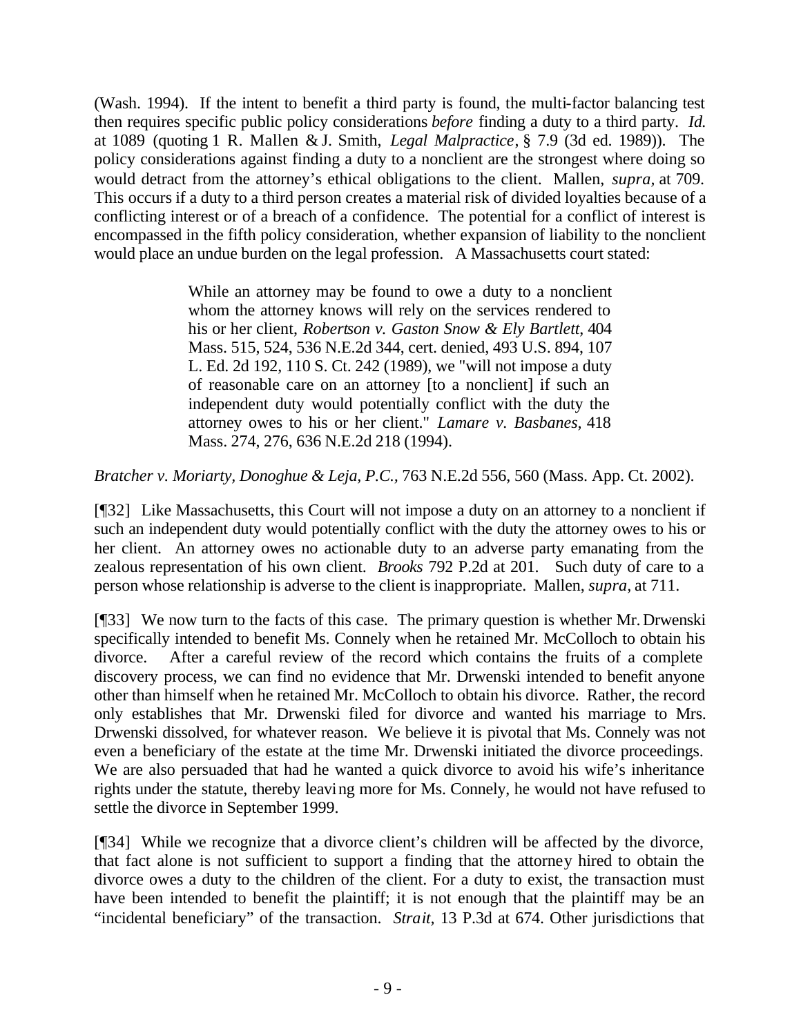(Wash. 1994). If the intent to benefit a third party is found, the multi-factor balancing test then requires specific public policy considerations *before* finding a duty to a third party. *Id.*  at 1089 (quoting 1 R. Mallen & J. Smith, *Legal Malpractice*, § 7.9 (3d ed. 1989)). The policy considerations against finding a duty to a nonclient are the strongest where doing so would detract from the attorney's ethical obligations to the client. Mallen, *supra,* at 709. This occurs if a duty to a third person creates a material risk of divided loyalties because of a conflicting interest or of a breach of a confidence. The potential for a conflict of interest is encompassed in the fifth policy consideration, whether expansion of liability to the nonclient would place an undue burden on the legal profession. A Massachusetts court stated:

> While an attorney may be found to owe a duty to a nonclient whom the attorney knows will rely on the services rendered to his or her client, *Robertson v. Gaston Snow & Ely Bartlett*, 404 Mass. 515, 524, 536 N.E.2d 344, cert. denied, 493 U.S. 894, 107 L. Ed. 2d 192, 110 S. Ct. 242 (1989), we "will not impose a duty of reasonable care on an attorney [to a nonclient] if such an independent duty would potentially conflict with the duty the attorney owes to his or her client." *Lamare v. Basbanes*, 418 Mass. 274, 276, 636 N.E.2d 218 (1994).

*Bratcher v. Moriarty, Donoghue & Leja, P.C.,* 763 N.E.2d 556, 560 (Mass. App. Ct. 2002).

[¶32] Like Massachusetts, this Court will not impose a duty on an attorney to a nonclient if such an independent duty would potentially conflict with the duty the attorney owes to his or her client. An attorney owes no actionable duty to an adverse party emanating from the zealous representation of his own client. *Brooks* 792 P.2d at 201. Such duty of care to a person whose relationship is adverse to the client is inappropriate. Mallen, *supra,* at 711.

[¶33] We now turn to the facts of this case. The primary question is whether Mr. Drwenski specifically intended to benefit Ms. Connely when he retained Mr. McColloch to obtain his divorce. After a careful review of the record which contains the fruits of a complete discovery process, we can find no evidence that Mr. Drwenski intended to benefit anyone other than himself when he retained Mr. McColloch to obtain his divorce. Rather, the record only establishes that Mr. Drwenski filed for divorce and wanted his marriage to Mrs. Drwenski dissolved, for whatever reason. We believe it is pivotal that Ms. Connely was not even a beneficiary of the estate at the time Mr. Drwenski initiated the divorce proceedings. We are also persuaded that had he wanted a quick divorce to avoid his wife's inheritance rights under the statute, thereby leaving more for Ms. Connely, he would not have refused to settle the divorce in September 1999.

[¶34] While we recognize that a divorce client's children will be affected by the divorce, that fact alone is not sufficient to support a finding that the attorney hired to obtain the divorce owes a duty to the children of the client. For a duty to exist, the transaction must have been intended to benefit the plaintiff; it is not enough that the plaintiff may be an "incidental beneficiary" of the transaction. *Strait,* 13 P.3d at 674. Other jurisdictions that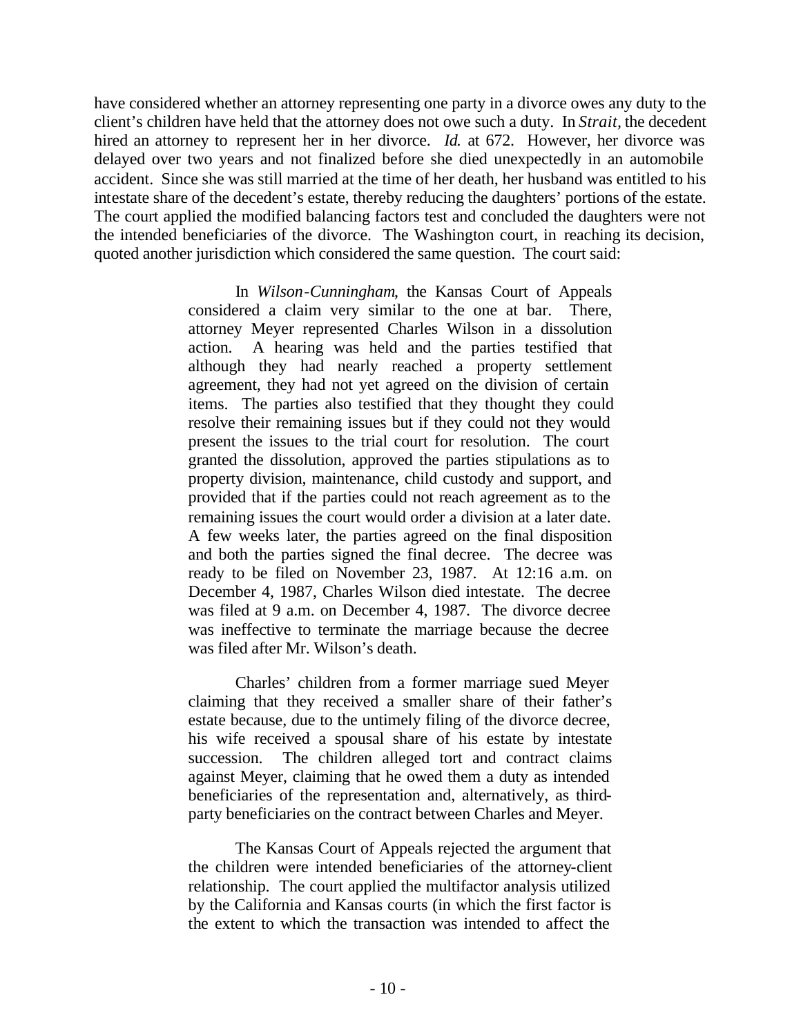have considered whether an attorney representing one party in a divorce owes any duty to the client's children have held that the attorney does not owe such a duty. In *Strait,* the decedent hired an attorney to represent her in her divorce. *Id.* at 672. However, her divorce was delayed over two years and not finalized before she died unexpectedly in an automobile accident. Since she was still married at the time of her death, her husband was entitled to his intestate share of the decedent's estate, thereby reducing the daughters' portions of the estate. The court applied the modified balancing factors test and concluded the daughters were not the intended beneficiaries of the divorce. The Washington court, in reaching its decision, quoted another jurisdiction which considered the same question. The court said:

> In *Wilson-Cunningham*, the Kansas Court of Appeals considered a claim very similar to the one at bar. There, attorney Meyer represented Charles Wilson in a dissolution action. A hearing was held and the parties testified that although they had nearly reached a property settlement agreement, they had not yet agreed on the division of certain items. The parties also testified that they thought they could resolve their remaining issues but if they could not they would present the issues to the trial court for resolution. The court granted the dissolution, approved the parties stipulations as to property division, maintenance, child custody and support, and provided that if the parties could not reach agreement as to the remaining issues the court would order a division at a later date. A few weeks later, the parties agreed on the final disposition and both the parties signed the final decree. The decree was ready to be filed on November 23, 1987. At 12:16 a.m. on December 4, 1987, Charles Wilson died intestate. The decree was filed at 9 a.m. on December 4, 1987. The divorce decree was ineffective to terminate the marriage because the decree was filed after Mr. Wilson's death.

> Charles' children from a former marriage sued Meyer claiming that they received a smaller share of their father's estate because, due to the untimely filing of the divorce decree, his wife received a spousal share of his estate by intestate succession. The children alleged tort and contract claims against Meyer, claiming that he owed them a duty as intended beneficiaries of the representation and, alternatively, as thirdparty beneficiaries on the contract between Charles and Meyer.

> The Kansas Court of Appeals rejected the argument that the children were intended beneficiaries of the attorney-client relationship. The court applied the multifactor analysis utilized by the California and Kansas courts (in which the first factor is the extent to which the transaction was intended to affect the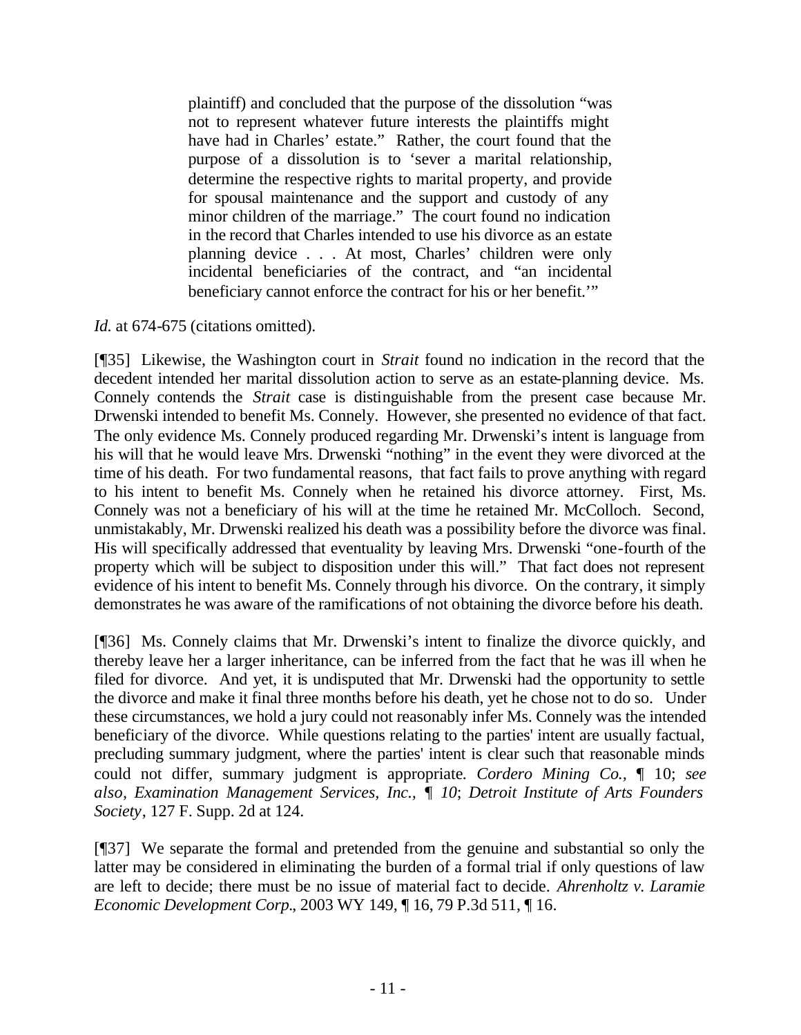plaintiff) and concluded that the purpose of the dissolution "was not to represent whatever future interests the plaintiffs might have had in Charles' estate." Rather, the court found that the purpose of a dissolution is to 'sever a marital relationship, determine the respective rights to marital property, and provide for spousal maintenance and the support and custody of any minor children of the marriage." The court found no indication in the record that Charles intended to use his divorce as an estate planning device . . . At most, Charles' children were only incidental beneficiaries of the contract, and "an incidental beneficiary cannot enforce the contract for his or her benefit.'"

#### *Id.* at 674-675 (citations omitted).

[¶35] Likewise, the Washington court in *Strait* found no indication in the record that the decedent intended her marital dissolution action to serve as an estate-planning device. Ms. Connely contends the *Strait* case is distinguishable from the present case because Mr. Drwenski intended to benefit Ms. Connely. However, she presented no evidence of that fact. The only evidence Ms. Connely produced regarding Mr. Drwenski's intent is language from his will that he would leave Mrs. Drwenski "nothing" in the event they were divorced at the time of his death. For two fundamental reasons, that fact fails to prove anything with regard to his intent to benefit Ms. Connely when he retained his divorce attorney. First, Ms. Connely was not a beneficiary of his will at the time he retained Mr. McColloch. Second, unmistakably, Mr. Drwenski realized his death was a possibility before the divorce was final. His will specifically addressed that eventuality by leaving Mrs. Drwenski "one-fourth of the property which will be subject to disposition under this will." That fact does not represent evidence of his intent to benefit Ms. Connely through his divorce. On the contrary, it simply demonstrates he was aware of the ramifications of not obtaining the divorce before his death.

[¶36] Ms. Connely claims that Mr. Drwenski's intent to finalize the divorce quickly, and thereby leave her a larger inheritance, can be inferred from the fact that he was ill when he filed for divorce. And yet, it is undisputed that Mr. Drwenski had the opportunity to settle the divorce and make it final three months before his death, yet he chose not to do so. Under these circumstances, we hold a jury could not reasonably infer Ms. Connely was the intended beneficiary of the divorce. While questions relating to the parties' intent are usually factual, precluding summary judgment, where the parties' intent is clear such that reasonable minds could not differ, summary judgment is appropriate*. Cordero Mining Co.,* ¶ 10; *see also,**Examination Management Services, Inc., ¶ 10*; *Detroit Institute of Arts Founders Society*, 127 F. Supp. 2d at 124.

[¶37] We separate the formal and pretended from the genuine and substantial so only the latter may be considered in eliminating the burden of a formal trial if only questions of law are left to decide; there must be no issue of material fact to decide. *Ahrenholtz v. Laramie Economic Development Corp.*, 2003 WY 149, ¶ 16, 79 P.3d 511, ¶ 16.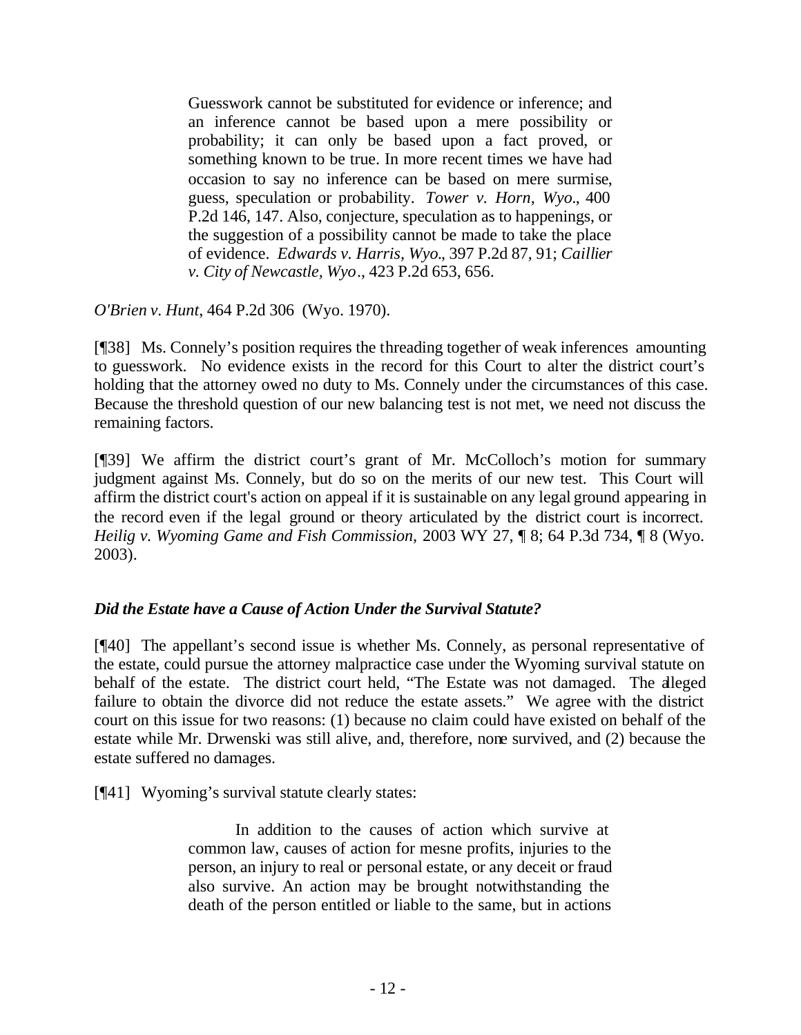Guesswork cannot be substituted for evidence or inference; and an inference cannot be based upon a mere possibility or probability; it can only be based upon a fact proved, or something known to be true. In more recent times we have had occasion to say no inference can be based on mere surmise, guess, speculation or probability. *Tower v. Horn, Wyo.*, 400 P.2d 146, 147. Also, conjecture, speculation as to happenings, or the suggestion of a possibility cannot be made to take the place of evidence. *Edwards v. Harris, Wyo.*, 397 P.2d 87, 91; *Caillier v. City of Newcastle, Wyo*., 423 P.2d 653, 656.

*O'Brien v. Hunt*, 464 P.2d 306 (Wyo. 1970).

[¶38] Ms. Connely's position requires the threading together of weak inferences amounting to guesswork. No evidence exists in the record for this Court to alter the district court's holding that the attorney owed no duty to Ms. Connely under the circumstances of this case. Because the threshold question of our new balancing test is not met, we need not discuss the remaining factors.

[¶39] We affirm the district court's grant of Mr. McColloch's motion for summary judgment against Ms. Connely, but do so on the merits of our new test. This Court will affirm the district court's action on appeal if it is sustainable on any legal ground appearing in the record even if the legal ground or theory articulated by the district court is incorrect. *Heilig v. Wyoming Game and Fish Commission,* 2003 WY 27, ¶ 8; 64 P.3d 734, ¶ 8 (Wyo. 2003).

## *Did the Estate have a Cause of Action Under the Survival Statute?*

[¶40] The appellant's second issue is whether Ms. Connely, as personal representative of the estate, could pursue the attorney malpractice case under the Wyoming survival statute on behalf of the estate. The district court held, "The Estate was not damaged. The alleged failure to obtain the divorce did not reduce the estate assets." We agree with the district court on this issue for two reasons: (1) because no claim could have existed on behalf of the estate while Mr. Drwenski was still alive, and, therefore, none survived, and (2) because the estate suffered no damages.

[¶41] Wyoming's survival statute clearly states:

In addition to the causes of action which survive at common law, causes of action for mesne profits, injuries to the person, an injury to real or personal estate, or any deceit or fraud also survive. An action may be brought notwithstanding the death of the person entitled or liable to the same, but in actions